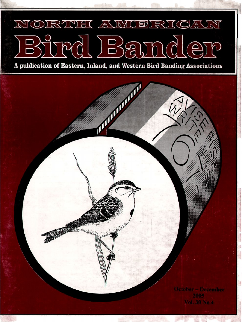## NORTH AWGERICAN d Ba

A publication of Eastern, Inland, and Western Bird Banding Associations